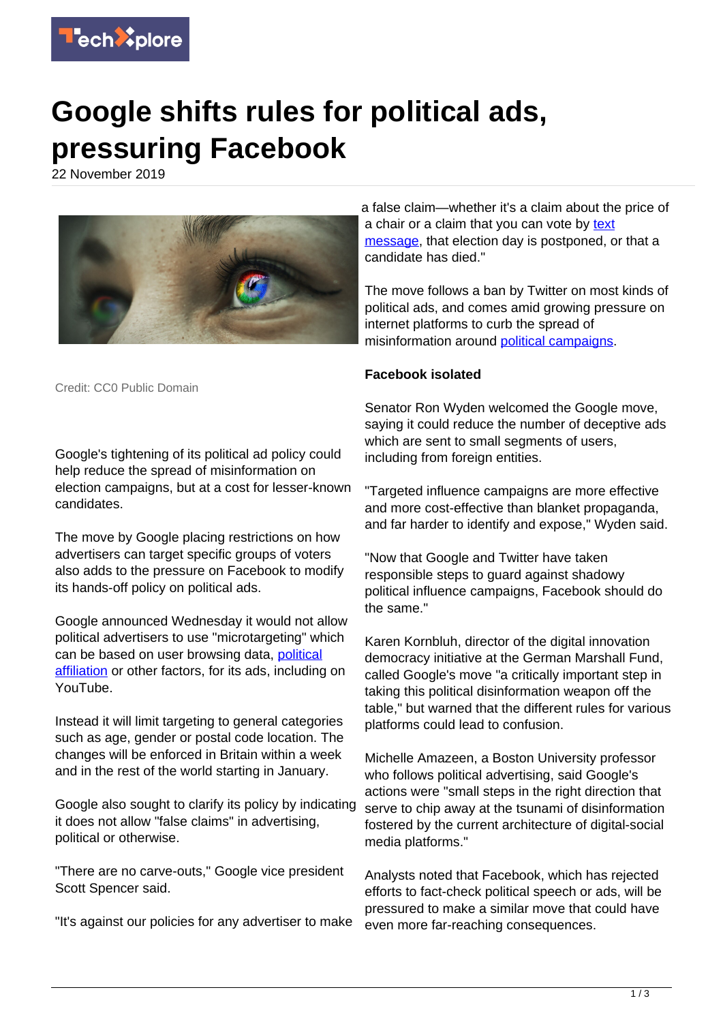

## **Google shifts rules for political ads, pressuring Facebook**

22 November 2019



Credit: CC0 Public Domain

Google's tightening of its political ad policy could help reduce the spread of misinformation on election campaigns, but at a cost for lesser-known candidates.

The move by Google placing restrictions on how advertisers can target specific groups of voters also adds to the pressure on Facebook to modify its hands-off policy on political ads.

Google announced Wednesday it would not allow political advertisers to use "microtargeting" which can be based on user browsing data, [political](https://techxplore.com/tags/political+affiliation/) [affiliation](https://techxplore.com/tags/political+affiliation/) or other factors, for its ads, including on YouTube.

Instead it will limit targeting to general categories such as age, gender or postal code location. The changes will be enforced in Britain within a week and in the rest of the world starting in January.

Google also sought to clarify its policy by indicating it does not allow "false claims" in advertising, political or otherwise.

"There are no carve-outs," Google vice president Scott Spencer said.

"It's against our policies for any advertiser to make

a false claim—whether it's a claim about the price of a chair or a claim that you can vote by [text](https://techxplore.com/tags/text+message/) [message](https://techxplore.com/tags/text+message/), that election day is postponed, or that a candidate has died."

The move follows a ban by Twitter on most kinds of political ads, and comes amid growing pressure on internet platforms to curb the spread of misinformation around [political campaigns](https://techxplore.com/tags/political+campaigns/).

## **Facebook isolated**

Senator Ron Wyden welcomed the Google move, saying it could reduce the number of deceptive ads which are sent to small segments of users, including from foreign entities.

"Targeted influence campaigns are more effective and more cost-effective than blanket propaganda, and far harder to identify and expose," Wyden said.

"Now that Google and Twitter have taken responsible steps to guard against shadowy political influence campaigns, Facebook should do the same."

Karen Kornbluh, director of the digital innovation democracy initiative at the German Marshall Fund, called Google's move "a critically important step in taking this political disinformation weapon off the table," but warned that the different rules for various platforms could lead to confusion.

Michelle Amazeen, a Boston University professor who follows political advertising, said Google's actions were "small steps in the right direction that serve to chip away at the tsunami of disinformation fostered by the current architecture of digital-social media platforms."

Analysts noted that Facebook, which has rejected efforts to fact-check political speech or ads, will be pressured to make a similar move that could have even more far-reaching consequences.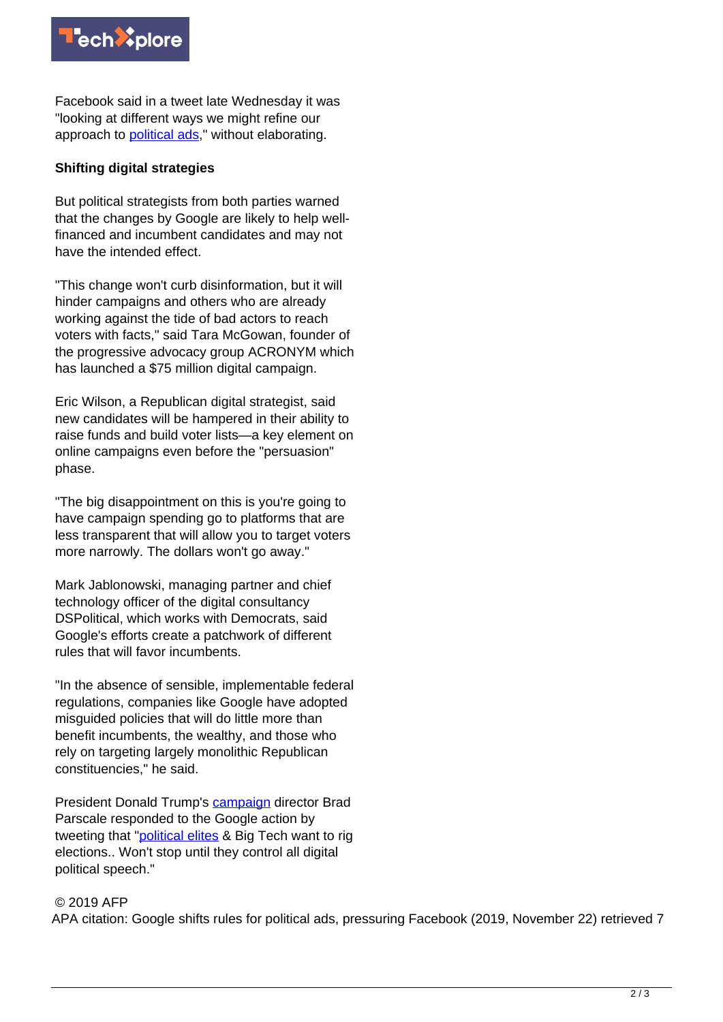

Facebook said in a tweet late Wednesday it was "looking at different ways we might refine our approach to **political ads**," without elaborating.

## **Shifting digital strategies**

But political strategists from both parties warned that the changes by Google are likely to help wellfinanced and incumbent candidates and may not have the intended effect.

"This change won't curb disinformation, but it will hinder campaigns and others who are already working against the tide of bad actors to reach voters with facts," said Tara McGowan, founder of the progressive advocacy group ACRONYM which has launched a \$75 million digital campaign.

Eric Wilson, a Republican digital strategist, said new candidates will be hampered in their ability to raise funds and build voter lists—a key element on online campaigns even before the "persuasion" phase.

"The big disappointment on this is you're going to have campaign spending go to platforms that are less transparent that will allow you to target voters more narrowly. The dollars won't go away."

Mark Jablonowski, managing partner and chief technology officer of the digital consultancy DSPolitical, which works with Democrats, said Google's efforts create a patchwork of different rules that will favor incumbents.

"In the absence of sensible, implementable federal regulations, companies like Google have adopted misguided policies that will do little more than benefit incumbents, the wealthy, and those who rely on targeting largely monolithic Republican constituencies," he said.

President Donald Trump's [campaign](https://techxplore.com/tags/campaign/) director Brad Parscale responded to the Google action by tweeting that "[political elites](https://techxplore.com/tags/political+elites/) & Big Tech want to rig elections.. Won't stop until they control all digital political speech."

## © 2019 AFP

APA citation: Google shifts rules for political ads, pressuring Facebook (2019, November 22) retrieved 7